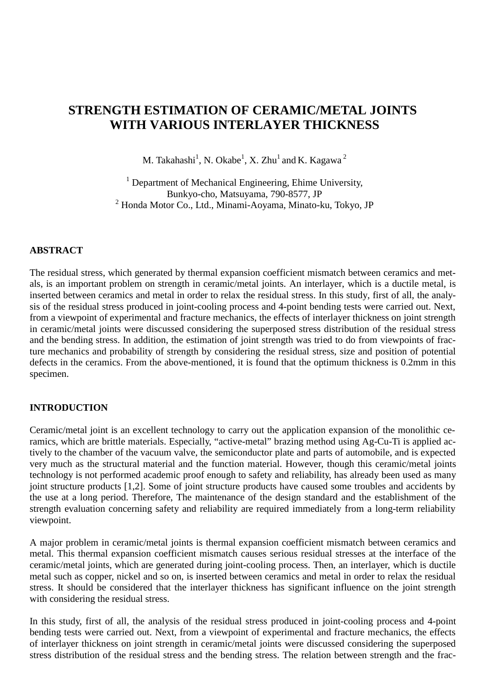# **STRENGTH ESTIMATION OF CERAMIC/METAL JOINTS WITH VARIOUS INTERLAYER THICKNESS**

M. Takahashi $^1$ , N. Okabe $^1$ , X. Zhu $^1$  and K. Kagawa  $^2$ 

<sup>1</sup> Department of Mechanical Engineering, Ehime University, Bunkyo-cho, Matsuyama, 790-8577, JP <sup>2</sup> Honda Motor Co., Ltd., Minami-Aoyama, Minato-ku, Tokyo, JP

# **ABSTRACT**

The residual stress, which generated by thermal expansion coefficient mismatch between ceramics and metals, is an important problem on strength in ceramic/metal joints. An interlayer, which is a ductile metal, is inserted between ceramics and metal in order to relax the residual stress. In this study, first of all, the analysis of the residual stress produced in joint-cooling process and 4-point bending tests were carried out. Next, from a viewpoint of experimental and fracture mechanics, the effects of interlayer thickness on joint strength in ceramic/metal joints were discussed considering the superposed stress distribution of the residual stress and the bending stress. In addition, the estimation of joint strength was tried to do from viewpoints of fracture mechanics and probability of strength by considering the residual stress, size and position of potential defects in the ceramics. From the above-mentioned, it is found that the optimum thickness is 0.2mm in this specimen.

## **INTRODUCTION**

Ceramic/metal joint is an excellent technology to carry out the application expansion of the monolithic ceramics, which are brittle materials. Especially, "active-metal" brazing method using Ag-Cu-Ti is applied actively to the chamber of the vacuum valve, the semiconductor plate and parts of automobile, and is expected very much as the structural material and the function material. However, though this ceramic/metal joints technology is not performed academic proof enough to safety and reliability, has already been used as many joint structure products [1,2]. Some of joint structure products have caused some troubles and accidents by the use at a long period. Therefore, The maintenance of the design standard and the establishment of the strength evaluation concerning safety and reliability are required immediately from a long-term reliability viewpoint.

A major problem in ceramic/metal joints is thermal expansion coefficient mismatch between ceramics and metal. This thermal expansion coefficient mismatch causes serious residual stresses at the interface of the ceramic/metal joints, which are generated during joint-cooling process. Then, an interlayer, which is ductile metal such as copper, nickel and so on, is inserted between ceramics and metal in order to relax the residual stress. It should be considered that the interlayer thickness has significant influence on the joint strength with considering the residual stress.

In this study, first of all, the analysis of the residual stress produced in joint-cooling process and 4-point bending tests were carried out. Next, from a viewpoint of experimental and fracture mechanics, the effects of interlayer thickness on joint strength in ceramic/metal joints were discussed considering the superposed stress distribution of the residual stress and the bending stress. The relation between strength and the frac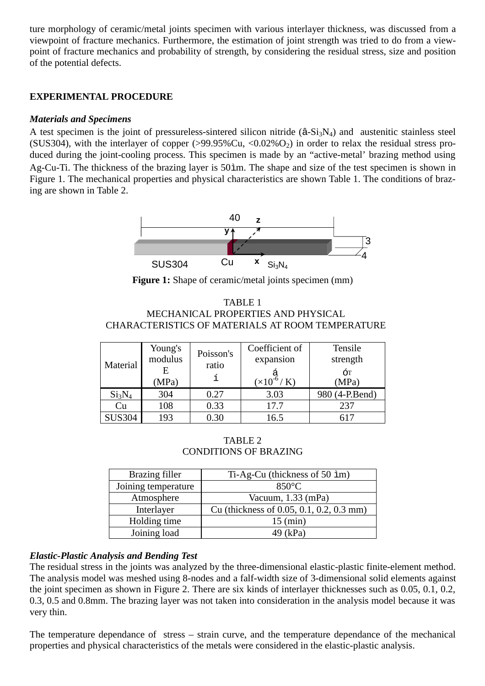ture morphology of ceramic/metal joints specimen with various interlayer thickness, was discussed from a viewpoint of fracture mechanics. Furthermore, the estimation of joint strength was tried to do from a viewpoint of fracture mechanics and probability of strength, by considering the residual stress, size and position of the potential defects.

# **EXPERIMENTAL PROCEDURE**

## *Materials and Specimens*

A test specimen is the joint of pressureless-sintered silicon nitride  $(\hat{a}-Si_3N_4)$  and austenitic stainless steel (SUS304), with the interlayer of copper  $(>99.95\%$ Cu,  $< 0.02\%$ O<sub>2</sub>) in order to relax the residual stress produced during the joint-cooling process. This specimen is made by an "active-metal' brazing method using Ag-Cu-Ti. The thickness of the brazing layer is 50ìm. The shape and size of the test specimen is shown in Figure 1. The mechanical properties and physical characteristics are shown Table 1. The conditions of brazing are shown in Table 2.



Figure 1: Shape of ceramic/metal joints specimen (mm)

TABLE 1 MECHANICAL PROPERTIES AND PHYSICAL CHARACTERISTICS OF MATERIALS AT ROOM TEMPERATURE

| Material                       | Young's<br>modulus<br>E<br>(MPa) | Poisson's<br>ratio | Coefficient of<br>expansion<br>$(\times 10^{-6} / K)$ | Tensile<br>strength<br>ÓТ<br>(MPa) |
|--------------------------------|----------------------------------|--------------------|-------------------------------------------------------|------------------------------------|
| Si <sub>3</sub> N <sub>4</sub> | 304                              | 0.27               | 3.03                                                  | 980 (4-P.Bend)                     |
| Cu                             | 108                              | 0.33               | 17.7                                                  | 237                                |
| <b>SUS304</b>                  | 193                              | $0.30\,$           | 16.5                                                  |                                    |

TABLE 2 CONDITIONS OF BRAZING

| Brazing filler      | Ti-Ag-Cu (thickness of 50 im)            |  |  |
|---------------------|------------------------------------------|--|--|
| Joining temperature | $850^{\circ}$ C                          |  |  |
| Atmosphere          | Vacuum, $1.33$ (mPa)                     |  |  |
| Interlayer          | Cu (thickness of 0.05, 0.1, 0.2, 0.3 mm) |  |  |
| Holding time        | $15 \text{ (min)}$                       |  |  |
| Joining load        | kPa)                                     |  |  |

# *Elastic-Plastic Analysis and Bending Test*

The residual stress in the joints was analyzed by the three-dimensional elastic-plastic finite-element method. The analysis model was meshed using 8-nodes and a falf-width size of 3-dimensional solid elements against the joint specimen as shown in Figure 2. There are six kinds of interlayer thicknesses such as 0.05, 0.1, 0.2, 0.3, 0.5 and 0.8mm. The brazing layer was not taken into consideration in the analysis model because it was very thin.

The temperature dependance of stress – strain curve, and the temperature dependance of the mechanical properties and physical characteristics of the metals were considered in the elastic-plastic analysis.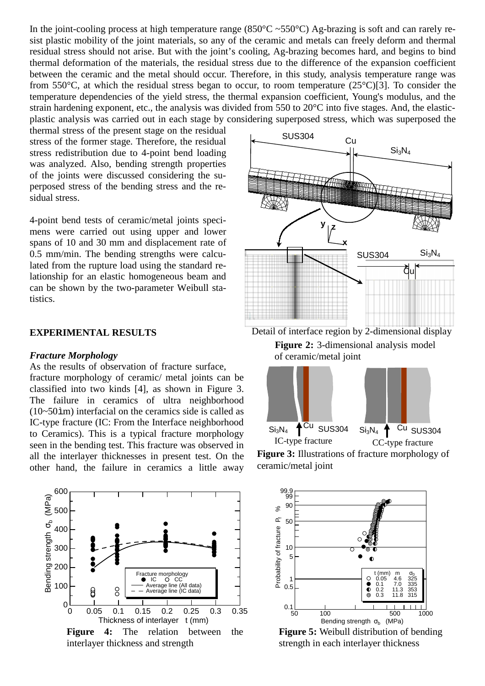In the joint-cooling process at high temperature range (850 $^{\circ}$ C ~550 $^{\circ}$ C) Ag-brazing is soft and can rarely resist plastic mobility of the joint materials, so any of the ceramic and metals can freely deform and thermal residual stress should not arise. But with the joint's cooling, Ag-brazing becomes hard, and begins to bind thermal deformation of the materials, the residual stress due to the difference of the expansion coefficient between the ceramic and the metal should occur. Therefore, in this study, analysis temperature range was from 550°C, at which the residual stress began to occur, to room temperature (25°C)[3]. To consider the temperature dependencies of the yield stress, the thermal expansion coefficient, Young's modulus, and the strain hardening exponent, etc., the analysis was divided from 550 to 20°C into five stages. And, the elasticplastic analysis was carried out in each stage by considering superposed stress, which was superposed the

thermal stress of the present stage on the residual stress of the former stage. Therefore, the residual stress redistribution due to 4-point bend loading was analyzed. Also, bending strength properties of the joints were discussed considering the superposed stress of the bending stress and the residual stress.

4-point bend tests of ceramic/metal joints specimens were carried out using upper and lower spans of 10 and 30 mm and displacement rate of 0.5 mm/min. The bending strengths were calculated from the rupture load using the standard relationship for an elastic homogeneous beam and can be shown by the two-parameter Weibull statistics.

#### **EXPERIMENTAL RESULTS**

#### *Fracture Morphology*

As the results of observation of fracture surface,

fracture morphology of ceramic/ metal joints can be classified into two kinds [4], as shown in Figure 3. The failure in ceramics of ultra neighborhood (10~50ìm) interfacial on the ceramics side is called as IC-type fracture (IC: From the Interface neighborhood to Ceramics). This is a typical fracture morphology seen in the bending test. This fracture was observed in all the interlayer thicknesses in present test. On the other hand, the failure in ceramics a little away





Detail of interface region by 2-dimensional display **Figure 2:** 3-dimensional analysis model of ceramic/metal joint







**Figure 5:** Weibull distribution of bending strength in each interlayer thickness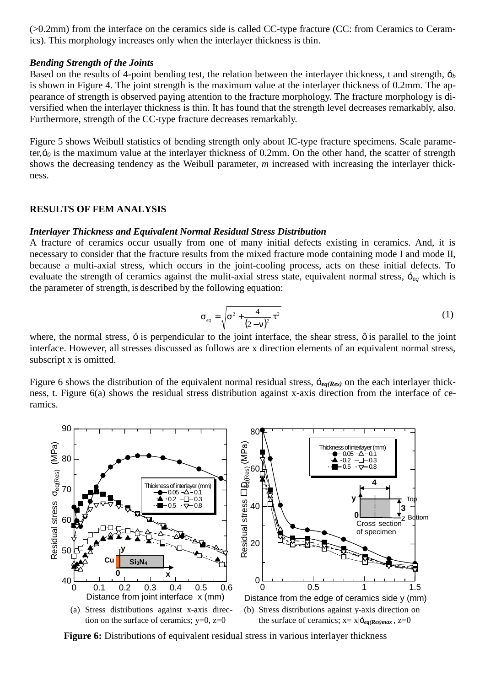(>0.2mm) from the interface on the ceramics side is called CC-type fracture (CC: from Ceramics to Ceramics). This morphology increases only when the interlayer thickness is thin.

#### *Bending Strength of the Joints*

Based on the results of 4-point bending test, the relation between the interlayer thickness, t and strength, ó*<sup>b</sup>* is shown in Figure 4. The joint strength is the maximum value at the interlayer thickness of 0.2mm. The appearance of strength is observed paying attention to the fracture morphology. The fracture morphology is diversified when the interlayer thickness is thin. It has found that the strength level decreases remarkably, also. Furthermore, strength of the CC-type fracture decreases remarkably.

Figure 5 shows Weibull statistics of bending strength only about IC-type fracture specimens. Scale parameter, $\delta_0$  is the maximum value at the interlayer thickness of 0.2mm. On the other hand, the scatter of strength shows the decreasing tendency as the Weibull parameter, *m* increased with increasing the interlayer thickness.

#### **RESULTS OF FEM ANALYSIS**

#### *Interlayer Thickness and Equivalent Normal Residual Stress Distribution*

A fracture of ceramics occur usually from one of many initial defects existing in ceramics. And, it is necessary to consider that the fracture results from the mixed fracture mode containing mode I and mode II, because a multi-axial stress, which occurs in the joint-cooling process, acts on these initial defects. To evaluate the strength of ceramics against the mulit-axial stress state, equivalent normal stress, ó*eq* which is the parameter of strength, is described by the following equation:

$$
\sigma_{eq} = \sqrt{\sigma^2 + \frac{4}{(2-\nu)^2} \tau^2}
$$
 (1)

where, the normal stress,  $\ddot{\circ}$  is perpendicular to the joint interface, the shear stress,  $\ddot{\circ}$  is parallel to the joint interface. However, all stresses discussed as follows are x direction elements of an equivalent normal stress, subscript x is omitted.

Figure 6 shows the distribution of the equivalent normal residual stress, ó*eq(Res)* on the each interlayer thickness, t. Figure 6(a) shows the residual stress distribution against x-axis direction from the interface of ceramics.



**Figure 6:** Distributions of equivalent residual stress in various interlayer thickness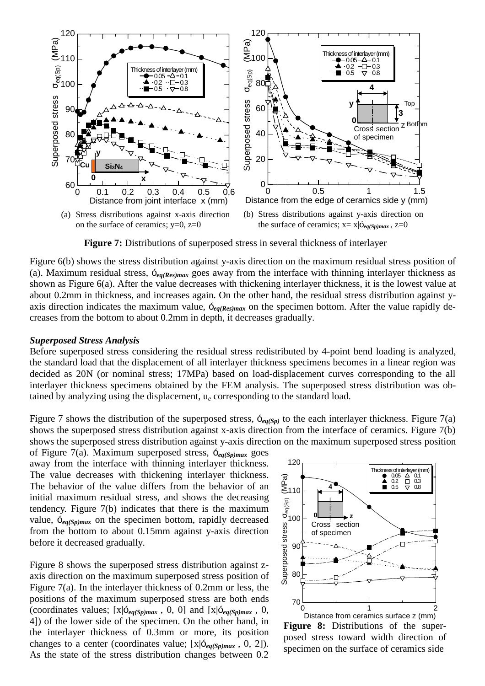

**Figure 7:** Distributions of superposed stress in several thickness of interlayer

Figure 6(b) shows the stress distribution against y-axis direction on the maximum residual stress position of (a). Maximum residual stress, ó*eq(Res)max* goes away from the interface with thinning interlayer thickness as shown as Figure 6(a). After the value decreases with thickening interlayer thickness, it is the lowest value at about 0.2mm in thickness, and increases again. On the other hand, the residual stress distribution against yaxis direction indicates the maximum value, ó*eq(Res)max* on the specimen bottom. After the value rapidly decreases from the bottom to about 0.2mm in depth, it decreases gradually.

#### *Superposed Stress Analysis*

Before superposed stress considering the residual stress redistributed by 4-point bend loading is analyzed, the standard load that the displacement of all interlayer thickness specimens becomes in a linear region was decided as 20N (or nominal stress; 17MPa) based on load-displacement curves corresponding to the all interlayer thickness specimens obtained by the FEM analysis. The superposed stress distribution was obtained by analyzing using the displacement, u*e* corresponding to the standard load.

Figure 7 shows the distribution of the superposed stress,  $\zeta_{eq(Sp)}$  to the each interlayer thickness. Figure 7(a) shows the superposed stress distribution against x-axis direction from the interface of ceramics. Figure 7(b) shows the superposed stress distribution against y-axis direction on the maximum superposed stress position

of Figure 7(a). Maximum superposed stress, ó*eq(Sp)max* goes away from the interface with thinning interlayer thickness. The value decreases with thickening interlayer thickness. The behavior of the value differs from the behavior of an initial maximum residual stress, and shows the decreasing tendency. Figure 7(b) indicates that there is the maximum value, ó*eq(Sp)max* on the specimen bottom, rapidly decreased from the bottom to about 0.15mm against y-axis direction before it decreased gradually.

Figure 8 shows the superposed stress distribution against zaxis direction on the maximum superposed stress position of Figure 7(a). In the interlayer thickness of 0.2mm or less, the positions of the maximum superposed stress are both ends (coordinates values;  $[x|\delta_{eq(Sp)max}$ , 0, 0] and  $[x|\delta_{eq(Sp)max}$ , 0, 4]) of the lower side of the specimen. On the other hand, in the interlayer thickness of 0.3mm or more, its position changes to a center (coordinates value; [x|ó*eq(Sp)max* , 0, 2]). As the state of the stress distribution changes between 0.2



**Figure 8:** Distributions of the superposed stress toward width direction of specimen on the surface of ceramics side Distance from ceramics surface z (mm)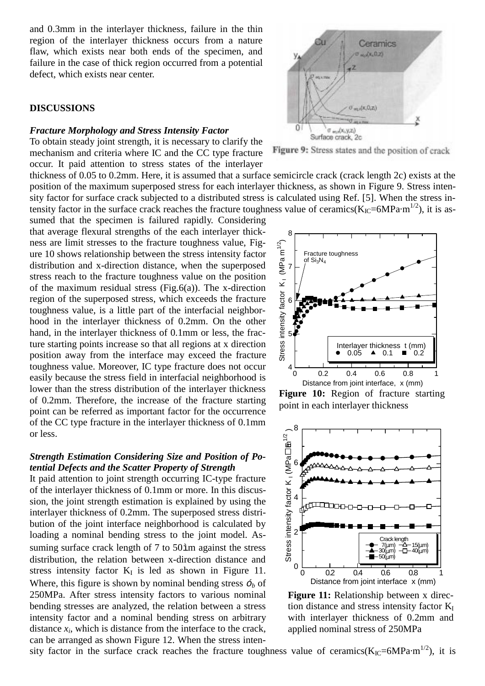and 0.3mm in the interlayer thickness, failure in the thin region of the interlayer thickness occurs from a nature flaw, which exists near both ends of the specimen, and failure in the case of thick region occurred from a potential defect, which exists near center.

#### **DISCUSSIONS**

#### *Fracture Morphology and Stress Intensity Factor*

To obtain steady joint strength, it is necessary to clarify the mechanism and criteria where IC and the CC type fracture occur. It paid attention to stress states of the interlayer

thickness of 0.05 to 0.2mm. Here, it is assumed that a surface semicircle crack (crack length 2c) exists at the position of the maximum superposed stress for each interlayer thickness, as shown in Figure 9. Stress intensity factor for surface crack subjected to a distributed stress is calculated using Ref. [5]. When the stress intensity factor in the surface crack reaches the fracture toughness value of ceramics( $K_{IC}$ =6MPa·m<sup>1/2</sup>), it is as-

sumed that the specimen is failured rapidly. Considering that average flexural strengths of the each interlayer thickness are limit stresses to the fracture toughness value, Figure 10 shows relationship between the stress intensity factor distribution and x-direction distance, when the superposed stress reach to the fracture toughness value on the position of the maximum residual stress (Fig.6(a)). The x-direction region of the superposed stress, which exceeds the fracture toughness value, is a little part of the interfacial neighborhood in the interlayer thickness of 0.2mm. On the other hand, in the interlayer thickness of 0.1mm or less, the fracture starting points increase so that all regions at x direction position away from the interface may exceed the fracture toughness value. Moreover, IC type fracture does not occur easily because the stress field in interfacial neighborhood is lower than the stress distribution of the interlayer thickness of 0.2mm. Therefore, the increase of the fracture starting point can be referred as important factor for the occurrence of the CC type fracture in the interlayer thickness of 0.1mm or less.

### *Strength Estimation Considering Size and Position of Potential Defects and the Scatter Property of Strength*

It paid attention to joint strength occurring IC-type fracture of the interlayer thickness of 0.1mm or more. In this discussion, the joint strength estimation is explained by using the interlayer thickness of 0.2mm. The superposed stress distribution of the joint interface neighborhood is calculated by loading a nominal bending stress to the joint model. Assuming surface crack length of 7 to 50ìm against the stress distribution, the relation between x-direction distance and stress intensity factor  $K_I$  is led as shown in Figure 11. Where, this figure is shown by nominal bending stress  $\delta_b$  of 250MPa. After stress intensity factors to various nominal bending stresses are analyzed, the relation between a stress intensity factor and a nominal bending stress on arbitrary distance  $x_i$ , which is distance from the interface to the crack, can be arranged as shown Figure 12. When the stress inten-



Figure 9: Stress states and the position of crack

8  $\approx$ Stress intensity factor  $K_1$  (MPa m<sup>1/2</sup>) Ε Fracture toughness (MPa of  $Si<sub>3</sub>N<sub>4</sub>$ 7  $\overline{\mathbf{x}}$ Stress intensity factor 6 5 Interlayer thickness t (mm)<br> $\bullet$  0.05  $\bullet$  0.1  $\bullet$  0.2  $0.2$  $4\frac{1}{0}$ 0 0.2 0.4 0.6 0.8 1 Distance from joint interface, x (mm)

**Figure 10:** Region of fracture starting point in each interlayer thickness



**Figure 11:** Relationship between x direction distance and stress intensity factor  $K_I$ with interlayer thickness of 0.2mm and applied nominal stress of 250MPa

sity factor in the surface crack reaches the fracture toughness value of ceramics( $K_{IC}$ =6MPa·m<sup>1/2</sup>), it is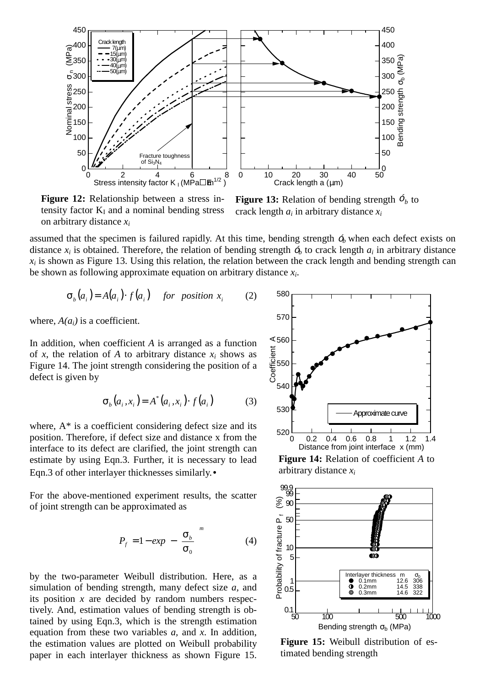

**Figure 12:** Relationship between a stress intensity factor  $K_I$  and a nominal bending stress on arbitrary distance *xi*

**Figure 13:** Relation of bending strength  $\delta_b$  to crack length *ai* in arbitrary distance *xi*

assumed that the specimen is failured rapidly. At this time, bending strength  $\zeta$  when each defect exists on distance  $x_i$  is obtained. Therefore, the relation of bending strength  $\phi$ , to crack length  $a_i$  in arbitrary distance  $x_i$  is shown as Figure 13. Using this relation, the relation between the crack length and bending strength can be shown as following approximate equation on arbitrary distance *xi*.

$$
\sigma_b(a_i) = A(a_i) \cdot f(a_i) \quad \text{for position } x_i \tag{2}
$$

where,  $A(a_i)$  is a coefficient.

In addition, when coefficient *A* is arranged as a function of *x*, the relation of *A* to arbitrary distance  $x_i$  shows as Figure 14. The joint strength considering the position of a defect is given by

$$
\sigma_b(a_i, x_i) = A^*(a_i, x_i) \cdot f(a_i)
$$
 (3)

where,  $A^*$  is a coefficient considering defect size and its position. Therefore, if defect size and distance x from the interface to its defect are clarified, the joint strength can estimate by using Eqn.3. Further, it is necessary to lead Eqn.3 of other interlayer thicknesses similarly.•

For the above-mentioned experiment results, the scatter of joint strength can be approximated as

$$
P_f = 1 - exp\left[-\left(\frac{\sigma_b}{\sigma_0}\right)^m\right] \tag{4}
$$

by the two-parameter Weibull distribution. Here, as a simulation of bending strength, many defect size *a,* and its position *x* are decided by random numbers respectively. And, estimation values of bending strength is obtained by using Eqn.3, which is the strength estimation equation from these two variables *a,* and *x*. In addition, the estimation values are plotted on Weibull probability paper in each interlayer thickness as shown Figure 15.



**Figure 14:** Relation of coefficient *A* to arbitrary distance *xi*



**Figure 15:** Weibull distribution of estimated bending strength